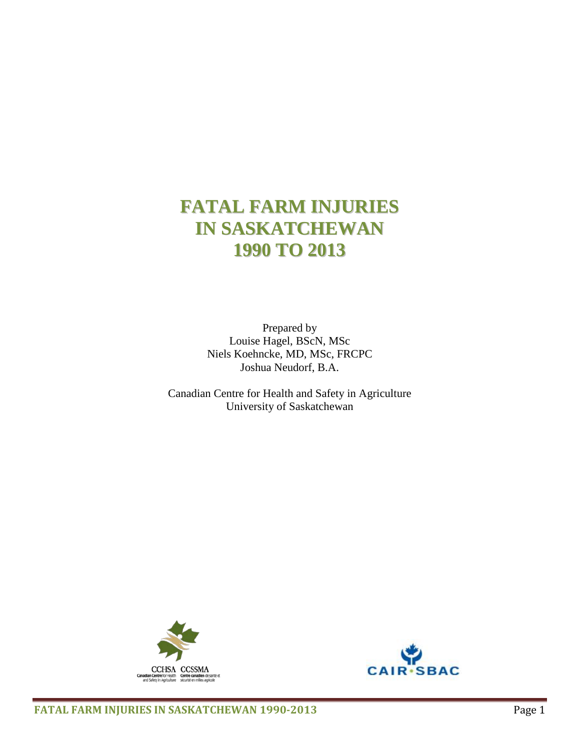# **FATAL FARM INJURIES IN SASKATCHEWAN 1990 TO 2013**

Prepared by Louise Hagel, BScN, MSc Niels Koehncke, MD, MSc, FRCPC Joshua Neudorf, B.A.

Canadian Centre for Health and Safety in Agriculture University of Saskatchewan



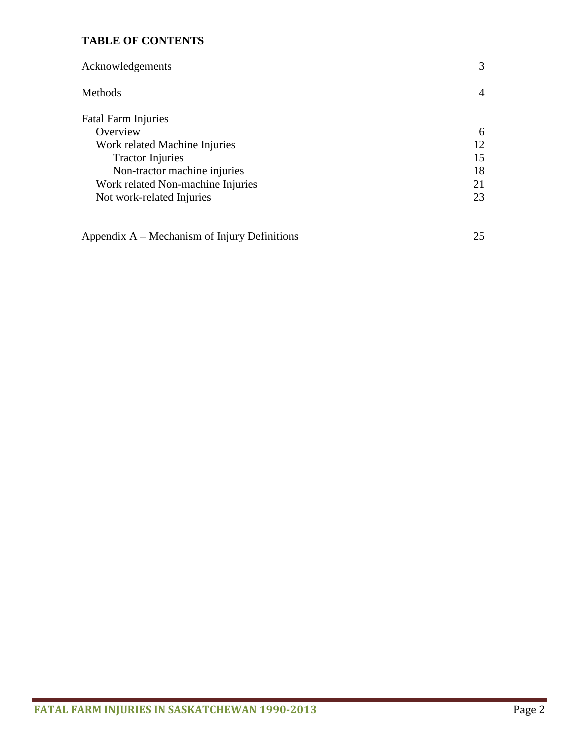## **TABLE OF CONTENTS**

| 4  |
|----|
|    |
| 6  |
| 12 |
| 15 |
| 18 |
| 21 |
| 23 |
|    |

| Appendix $A$ – Mechanism of Injury Definitions |  |
|------------------------------------------------|--|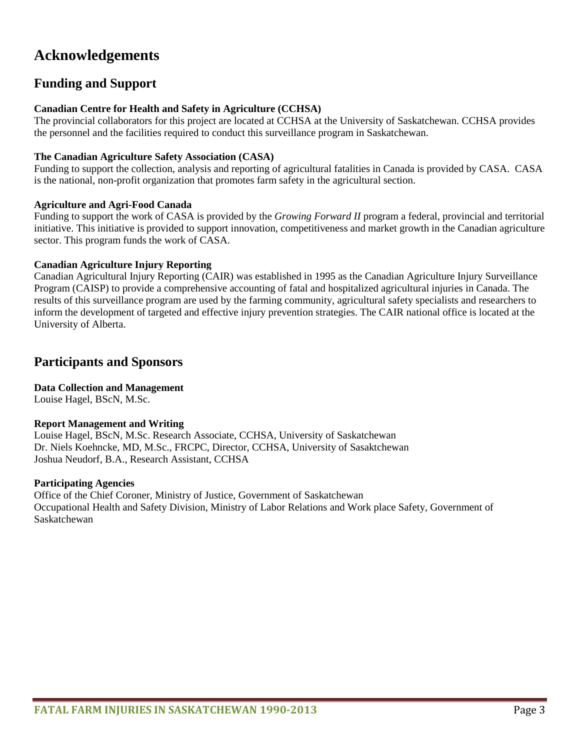## **Acknowledgements**

## **Funding and Support**

### **Canadian Centre for Health and Safety in Agriculture (CCHSA)**

The provincial collaborators for this project are located at CCHSA at the University of Saskatchewan. CCHSA provides the personnel and the facilities required to conduct this surveillance program in Saskatchewan.

#### **The Canadian Agriculture Safety Association (CASA)**

Funding to support the collection, analysis and reporting of agricultural fatalities in Canada is provided by CASA. CASA is the national, non-profit organization that promotes farm safety in the agricultural section.

#### **Agriculture and Agri-Food Canada**

Funding to support the work of CASA is provided by the *Growing Forward II* program a federal, provincial and territorial initiative. This initiative is provided to support innovation, competitiveness and market growth in the Canadian agriculture sector. This program funds the work of CASA.

#### **Canadian Agriculture Injury Reporting**

Canadian Agricultural Injury Reporting (CAIR) was established in 1995 as the Canadian Agriculture Injury Surveillance Program (CAISP) to provide a comprehensive accounting of fatal and hospitalized agricultural injuries in Canada. The results of this surveillance program are used by the farming community, agricultural safety specialists and researchers to inform the development of targeted and effective injury prevention strategies. The CAIR national office is located at the University of Alberta.

## **Participants and Sponsors**

### **Data Collection and Management**

Louise Hagel, BScN, M.Sc.

### **Report Management and Writing**

Louise Hagel, BScN, M.Sc. Research Associate, CCHSA, University of Saskatchewan Dr. Niels Koehncke, MD, M.Sc., FRCPC, Director, CCHSA, University of Sasaktchewan Joshua Neudorf, B.A., Research Assistant, CCHSA

### **Participating Agencies**

Office of the Chief Coroner, Ministry of Justice, Government of Saskatchewan Occupational Health and Safety Division, Ministry of Labor Relations and Work place Safety, Government of Saskatchewan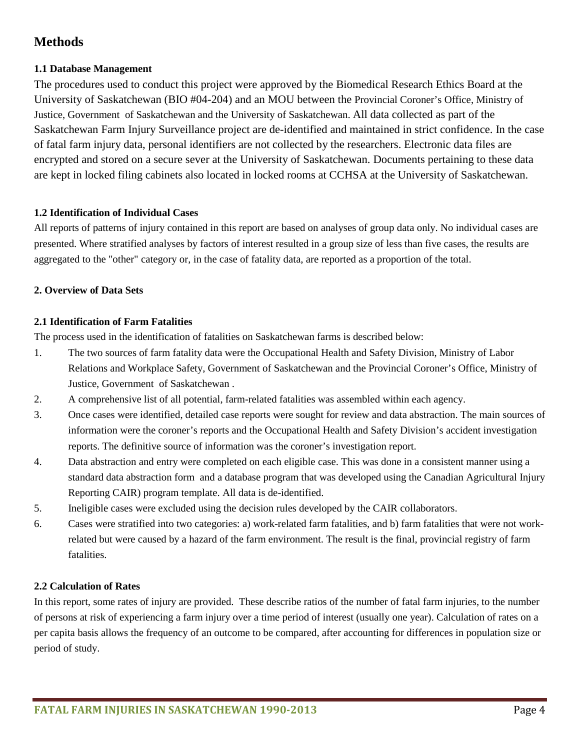## **Methods**

## **1.1 Database Management**

The procedures used to conduct this project were approved by the Biomedical Research Ethics Board at the University of Saskatchewan (BIO #04-204) and an MOU between the Provincial Coroner's Office, Ministry of Justice, Government of Saskatchewan and the University of Saskatchewan. All data collected as part of the Saskatchewan Farm Injury Surveillance project are de-identified and maintained in strict confidence. In the case of fatal farm injury data, personal identifiers are not collected by the researchers. Electronic data files are encrypted and stored on a secure sever at the University of Saskatchewan. Documents pertaining to these data are kept in locked filing cabinets also located in locked rooms at CCHSA at the University of Saskatchewan.

### **1.2 Identification of Individual Cases**

All reports of patterns of injury contained in this report are based on analyses of group data only. No individual cases are presented. Where stratified analyses by factors of interest resulted in a group size of less than five cases, the results are aggregated to the "other" category or, in the case of fatality data, are reported as a proportion of the total.

## **2. Overview of Data Sets**

## **2.1 Identification of Farm Fatalities**

The process used in the identification of fatalities on Saskatchewan farms is described below:

- 1. The two sources of farm fatality data were the Occupational Health and Safety Division, Ministry of Labor Relations and Workplace Safety, Government of Saskatchewan and the Provincial Coroner's Office, Ministry of Justice, Government of Saskatchewan .
- 2. A comprehensive list of all potential, farm-related fatalities was assembled within each agency.
- 3. Once cases were identified, detailed case reports were sought for review and data abstraction. The main sources of information were the coroner's reports and the Occupational Health and Safety Division's accident investigation reports. The definitive source of information was the coroner's investigation report.
- 4. Data abstraction and entry were completed on each eligible case. This was done in a consistent manner using a standard data abstraction form and a database program that was developed using the Canadian Agricultural Injury Reporting CAIR) program template. All data is de-identified.
- 5. Ineligible cases were excluded using the decision rules developed by the CAIR collaborators.
- 6. Cases were stratified into two categories: a) work-related farm fatalities, and b) farm fatalities that were not workrelated but were caused by a hazard of the farm environment. The result is the final, provincial registry of farm fatalities.

## **2.2 Calculation of Rates**

In this report, some rates of injury are provided. These describe ratios of the number of fatal farm injuries, to the number of persons at risk of experiencing a farm injury over a time period of interest (usually one year). Calculation of rates on a per capita basis allows the frequency of an outcome to be compared, after accounting for differences in population size or period of study.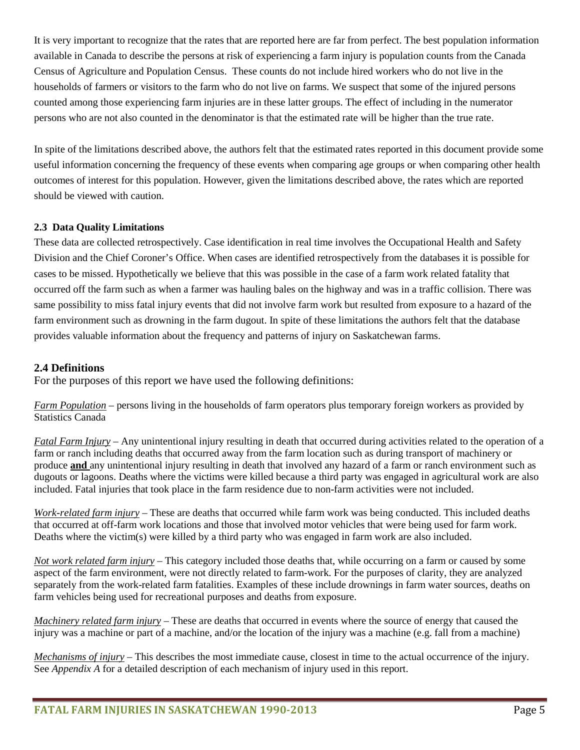It is very important to recognize that the rates that are reported here are far from perfect. The best population information available in Canada to describe the persons at risk of experiencing a farm injury is population counts from the Canada Census of Agriculture and Population Census. These counts do not include hired workers who do not live in the households of farmers or visitors to the farm who do not live on farms. We suspect that some of the injured persons counted among those experiencing farm injuries are in these latter groups. The effect of including in the numerator persons who are not also counted in the denominator is that the estimated rate will be higher than the true rate.

In spite of the limitations described above, the authors felt that the estimated rates reported in this document provide some useful information concerning the frequency of these events when comparing age groups or when comparing other health outcomes of interest for this population. However, given the limitations described above, the rates which are reported should be viewed with caution.

## **2.3 Data Quality Limitations**

These data are collected retrospectively. Case identification in real time involves the Occupational Health and Safety Division and the Chief Coroner's Office. When cases are identified retrospectively from the databases it is possible for cases to be missed. Hypothetically we believe that this was possible in the case of a farm work related fatality that occurred off the farm such as when a farmer was hauling bales on the highway and was in a traffic collision. There was same possibility to miss fatal injury events that did not involve farm work but resulted from exposure to a hazard of the farm environment such as drowning in the farm dugout. In spite of these limitations the authors felt that the database provides valuable information about the frequency and patterns of injury on Saskatchewan farms.

## **2.4 Definitions**

For the purposes of this report we have used the following definitions:

*Farm Population* – persons living in the households of farm operators plus temporary foreign workers as provided by Statistics Canada

*Fatal Farm Injury* – Any unintentional injury resulting in death that occurred during activities related to the operation of a farm or ranch including deaths that occurred away from the farm location such as during transport of machinery or produce **and** any unintentional injury resulting in death that involved any hazard of a farm or ranch environment such as dugouts or lagoons. Deaths where the victims were killed because a third party was engaged in agricultural work are also included. Fatal injuries that took place in the farm residence due to non-farm activities were not included.

*Work-related farm injury* – These are deaths that occurred while farm work was being conducted. This included deaths that occurred at off-farm work locations and those that involved motor vehicles that were being used for farm work. Deaths where the victim(s) were killed by a third party who was engaged in farm work are also included.

*Not work related farm injury* – This category included those deaths that, while occurring on a farm or caused by some aspect of the farm environment, were not directly related to farm-work. For the purposes of clarity, they are analyzed separately from the work-related farm fatalities. Examples of these include drownings in farm water sources, deaths on farm vehicles being used for recreational purposes and deaths from exposure.

*Machinery related farm injury* – These are deaths that occurred in events where the source of energy that caused the injury was a machine or part of a machine, and/or the location of the injury was a machine (e.g. fall from a machine)

*Mechanisms of injury* – This describes the most immediate cause, closest in time to the actual occurrence of the injury. See *Appendix A* for a detailed description of each mechanism of injury used in this report.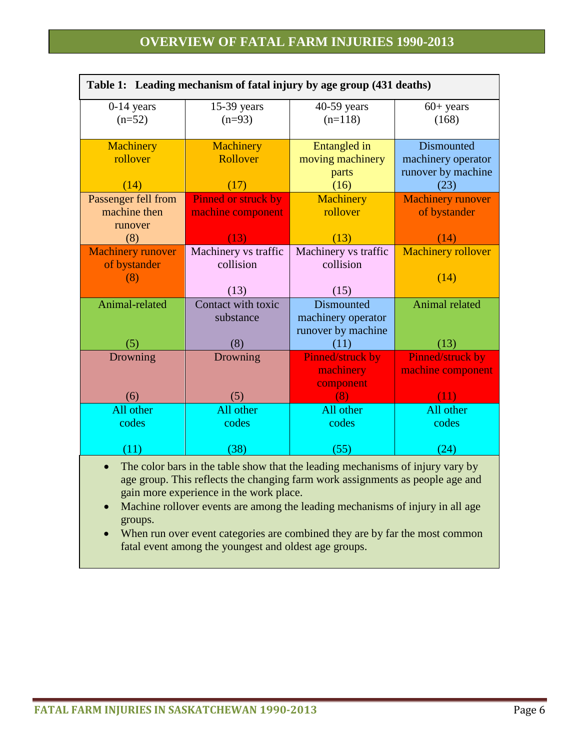| Table 1: Leading mechanism of fatal injury by age group (431 deaths) |                            |                      |                           |  |
|----------------------------------------------------------------------|----------------------------|----------------------|---------------------------|--|
| $0-14$ years                                                         | 15-39 years                | 40-59 years          | $60+$ years               |  |
| $(n=52)$                                                             | $(n=93)$                   | $(n=118)$            | (168)                     |  |
|                                                                      |                            |                      |                           |  |
| <b>Machinery</b>                                                     | <b>Machinery</b>           | Entangled in         | Dismounted                |  |
| rollover                                                             | Rollover                   | moving machinery     | machinery operator        |  |
|                                                                      |                            | parts                | runover by machine        |  |
| (14)                                                                 | (17)                       | (16)                 | (23)                      |  |
| Passenger fell from                                                  | <b>Pinned or struck by</b> | Machinery            | <b>Machinery runover</b>  |  |
| machine then                                                         | machine component          | rollover             | of bystander              |  |
| runover                                                              |                            |                      |                           |  |
| (8)                                                                  | (13)                       | (13)                 | (14)                      |  |
| <b>Machinery runover</b>                                             | Machinery vs traffic       | Machinery vs traffic | <b>Machinery rollover</b> |  |
| of bystander                                                         | collision                  | collision            |                           |  |
| (8)                                                                  | (13)                       | (15)                 | (14)                      |  |
| Animal-related                                                       | Contact with toxic         | Dismounted           | Animal related            |  |
|                                                                      | substance                  | machinery operator   |                           |  |
|                                                                      |                            | runover by machine   |                           |  |
| (5)                                                                  | (8)                        | (11)                 | (13)                      |  |
| Drowning                                                             | Drowning                   | Pinned/struck by     | Pinned/struck by          |  |
|                                                                      |                            | machinery            | machine component         |  |
|                                                                      |                            | component            |                           |  |
| (6)                                                                  | (5)                        | (8)                  | (11)                      |  |
| All other                                                            | All other                  | All other            | All other                 |  |
| codes                                                                | codes                      | codes                | codes                     |  |
|                                                                      |                            |                      |                           |  |
| (11)                                                                 | (38)                       | (55)                 | (24)                      |  |

• The color bars in the table show that the leading mechanisms of injury vary by age group. This reflects the changing farm work assignments as people age and gain more experience in the work place.

• Machine rollover events are among the leading mechanisms of injury in all age groups.

• When run over event categories are combined they are by far the most common fatal event among the youngest and oldest age groups.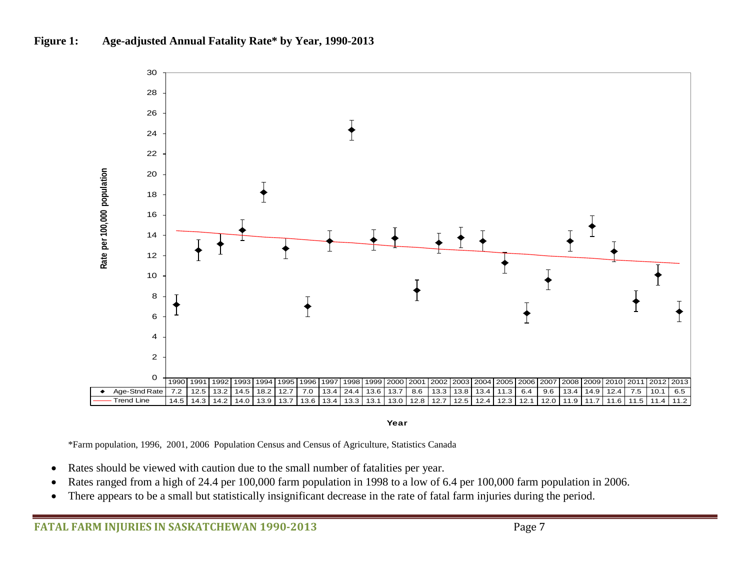

**Year**

\*Farm population, 1996, 2001, 2006 Population Census and Census of Agriculture, Statistics Canada

- Rates should be viewed with caution due to the small number of fatalities per year.
- Rates ranged from a high of 24.4 per 100,000 farm population in 1998 to a low of 6.4 per 100,000 farm population in 2006.
- There appears to be a small but statistically insignificant decrease in the rate of fatal farm injuries during the period.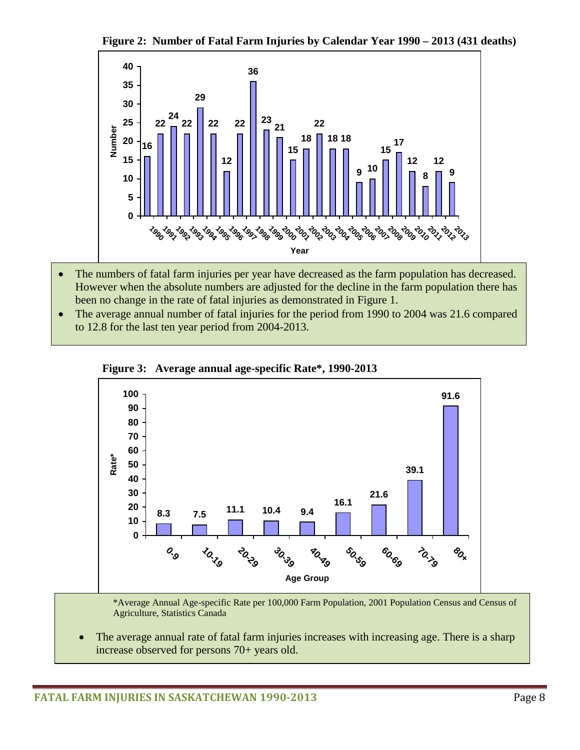



- The numbers of fatal farm injuries per year have decreased as the farm population has decreased. However when the absolute numbers are adjusted for the decline in the farm population there has been no change in the rate of fatal injuries as demonstrated in Figure 1.
- The average annual number of fatal injuries for the period from 1990 to 2004 was 21.6 compared to 12.8 for the last ten year period from 2004-2013.



**Figure 3: Average annual age-specific Rate\*, 1990-2013**

\*Average Annual Age-specific Rate per 100,000 Farm Population, 2001 Population Census and Census of Agriculture, Statistics Canada

The average annual rate of fatal farm injuries increases with increasing age. There is a sharp increase observed for persons 70+ years old.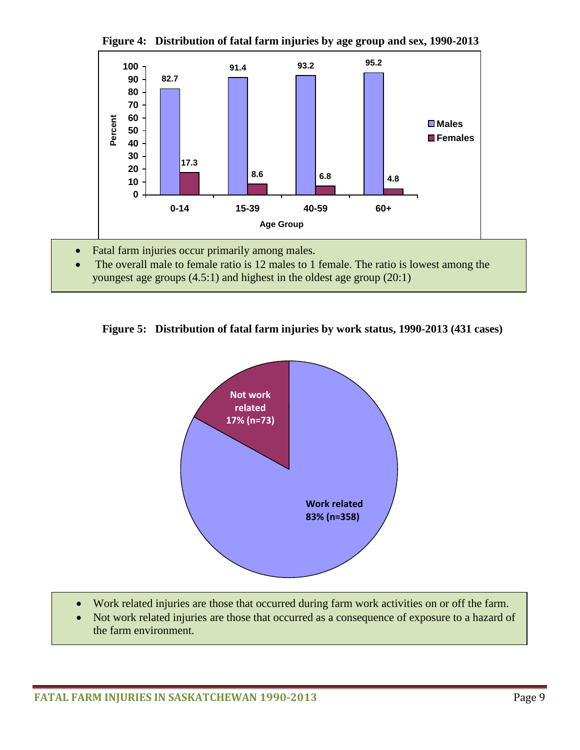



- Fatal farm injuries occur primarily among males.
- The overall male to female ratio is 12 males to 1 female. The ratio is lowest among the youngest age groups (4.5:1) and highest in the oldest age group (20:1)





- Work related injuries are those that occurred during farm work activities on or off the farm.
- Not work related injuries are those that occurred as a consequence of exposure to a hazard of the farm environment.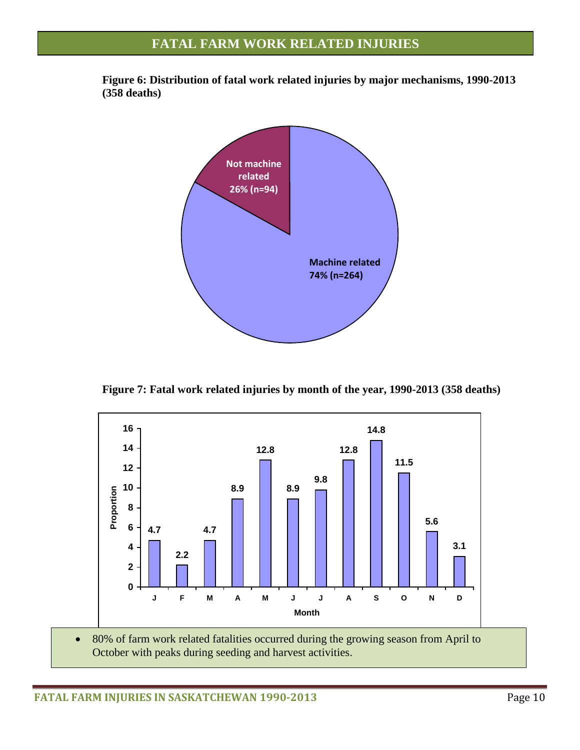## **FATAL FARM WORK RELATED INJURIES**

**Figure 6: Distribution of fatal work related injuries by major mechanisms, 1990-2013 (358 deaths)**



**Figure 7: Fatal work related injuries by month of the year, 1990-2013 (358 deaths)**



• 80% of farm work related fatalities occurred during the growing season from April to October with peaks during seeding and harvest activities.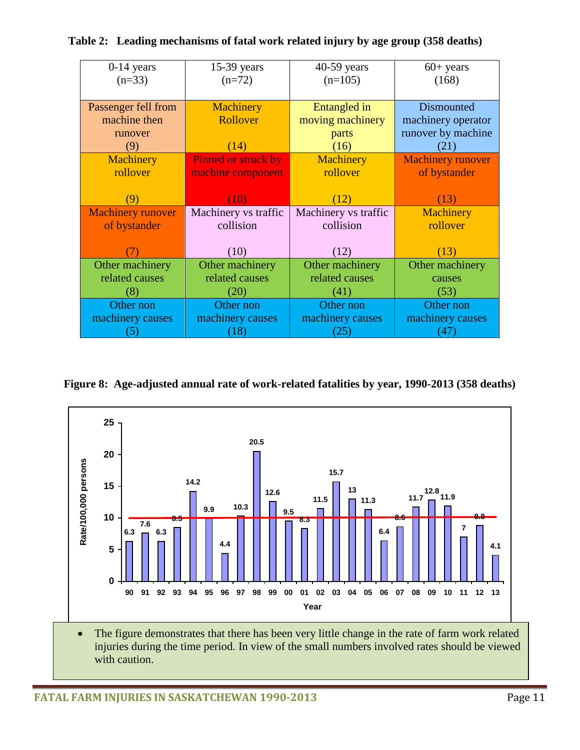| $0-14$ years             | 15-39 years                | 40-59 years          | $60+ years$              |
|--------------------------|----------------------------|----------------------|--------------------------|
| $(n=33)$                 | $(n=72)$                   | $(n=105)$            | (168)                    |
|                          |                            |                      |                          |
| Passenger fell from      | <b>Machinery</b>           | Entangled in         | Dismounted               |
| machine then             | Rollover                   | moving machinery     | machinery operator       |
| runover                  |                            | parts                | runover by machine       |
| (9)                      | (14)                       | (16)                 | (21)                     |
| Machinery                | <b>Pinned or struck by</b> | Machinery            | <b>Machinery runover</b> |
| rollover                 | machine component          | rollover             | of bystander             |
|                          |                            |                      |                          |
| (9)                      | (10)                       | (12)                 | (13)                     |
| <b>Machinery runover</b> | Machinery vs traffic       | Machinery vs traffic | Machinery                |
| of bystander             | collision                  | collision            | rollover                 |
|                          |                            |                      |                          |
|                          | (10)                       | (12)                 | (13)                     |
| Other machinery          | Other machinery            | Other machinery      | Other machinery          |
| related causes           | related causes             | related causes       | causes                   |
| (8)                      | (20)                       | (41)                 | (53)                     |
| Other non                | Other non                  | Other non            | Other non                |
| machinery causes         | machinery causes           | machinery causes     | machinery causes         |
| $\mathcal{D}$            | (18)                       | (25)                 | (47)                     |

## **Table 2: Leading mechanisms of fatal work related injury by age group (358 deaths)**

**Figure 8: Age-adjusted annual rate of work-related fatalities by year, 1990-2013 (358 deaths)**



• The figure demonstrates that there has been very little change in the rate of farm work related injuries during the time period. In view of the small numbers involved rates should be viewed with caution.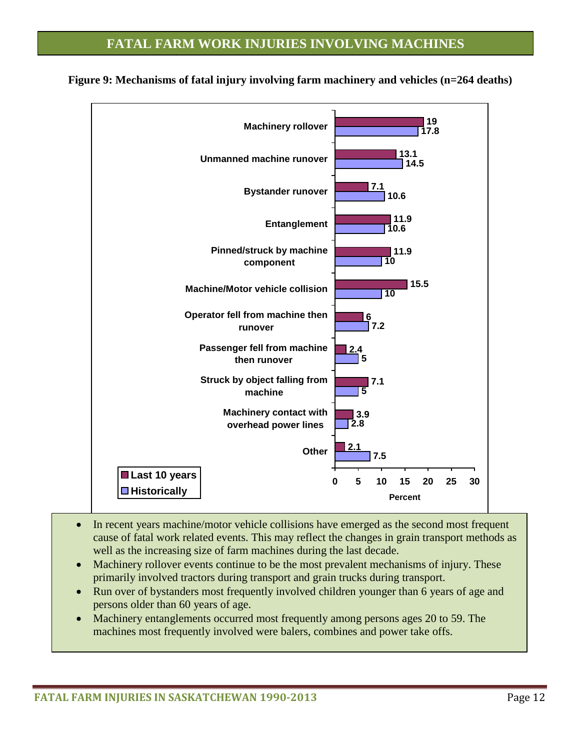## **FATAL FARM WORK INJURIES INVOLVING MACHINES**



**Figure 9: Mechanisms of fatal injury involving farm machinery and vehicles (n=264 deaths)**

- In recent years machine/motor vehicle collisions have emerged as the second most frequent cause of fatal work related events. This may reflect the changes in grain transport methods as well as the increasing size of farm machines during the last decade.
- Machinery rollover events continue to be the most prevalent mechanisms of injury. These primarily involved tractors during transport and grain trucks during transport.
- Run over of bystanders most frequently involved children younger than 6 years of age and persons older than 60 years of age.
- Machinery entanglements occurred most frequently among persons ages 20 to 59. The machines most frequently involved were balers, combines and power take offs.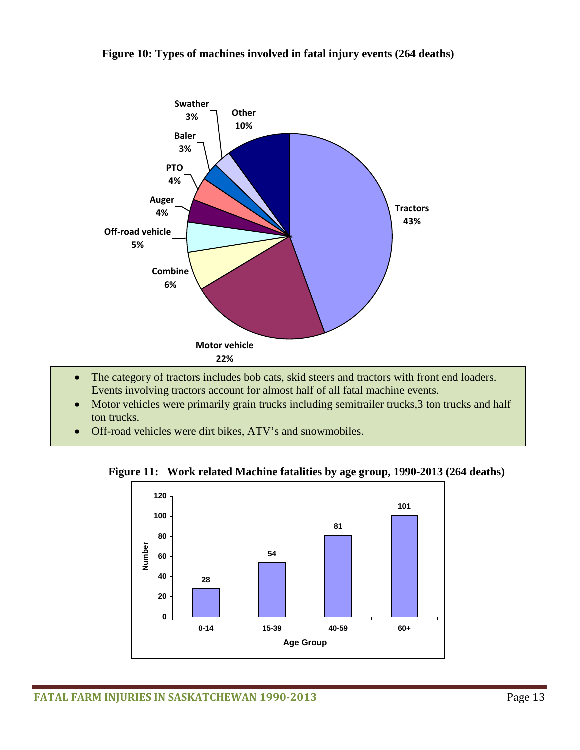### **Figure 10: Types of machines involved in fatal injury events (264 deaths)**



- The category of tractors includes bob cats, skid steers and tractors with front end loaders. Events involving tractors account for almost half of all fatal machine events.
- Motor vehicles were primarily grain trucks including semitrailer trucks, 3 ton trucks and half ton trucks.
- Off-road vehicles were dirt bikes, ATV's and snowmobiles.

#### **Figure 11: Work related Machine fatalities by age group, 1990-2013 (264 deaths)**

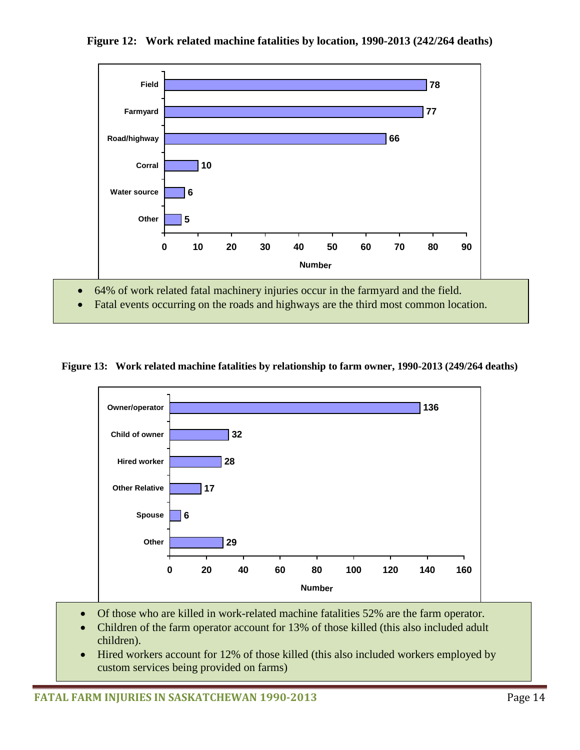

**Figure 12: Work related machine fatalities by location, 1990-2013 (242/264 deaths)**

**Figure 13: Work related machine fatalities by relationship to farm owner, 1990-2013 (249/264 deaths)**



- Of those who are killed in work-related machine fatalities 52% are the farm operator.
- Children of the farm operator account for 13% of those killed (this also included adult children).
- Hired workers account for 12% of those killed (this also included workers employed by custom services being provided on farms)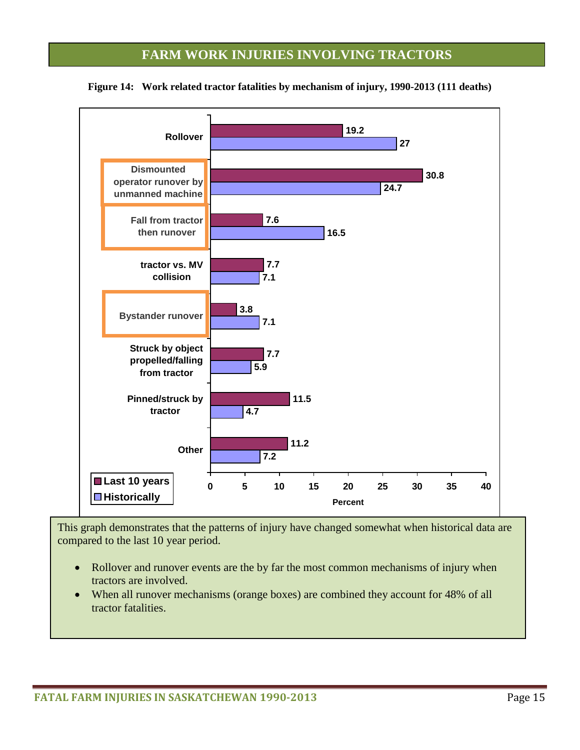## **FARM WORK INJURIES INVOLVING TRACTORS**



#### **Figure 14: Work related tractor fatalities by mechanism of injury, 1990-2013 (111 deaths)**

This graph demonstrates that the patterns of injury have changed somewhat when historical data are compared to the last 10 year period.

- Rollover and runover events are the by far the most common mechanisms of injury when tractors are involved.
- When all runover mechanisms (orange boxes) are combined they account for 48% of all tractor fatalities.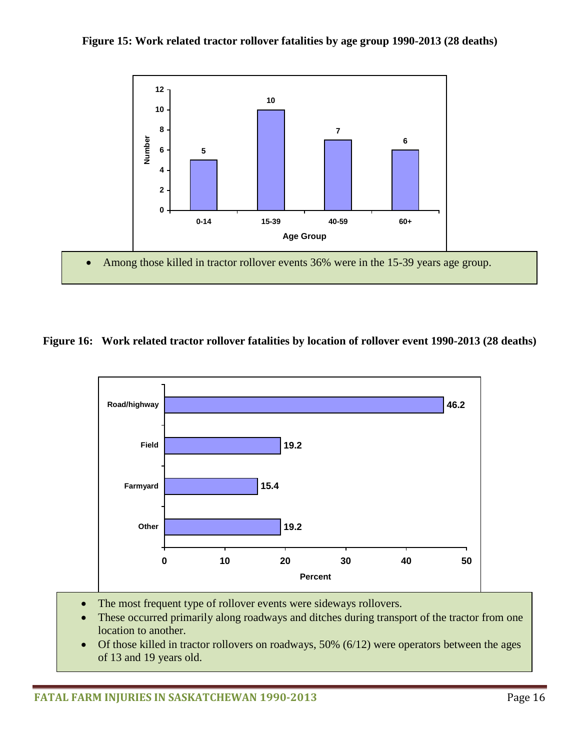



## **Figure 16: Work related tractor rollover fatalities by location of rollover event 1990-2013 (28 deaths)**



- The most frequent type of rollover events were sideways rollovers.
- These occurred primarily along roadways and ditches during transport of the tractor from one location to another.
- Of those killed in tractor rollovers on roadways,  $50\%$  (6/12) were operators between the ages of 13 and 19 years old.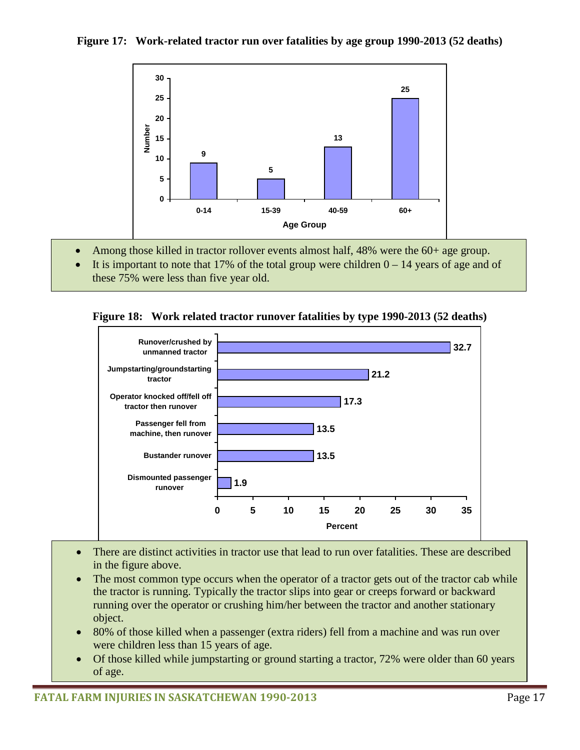## **Figure 17: Work-related tractor run over fatalities by age group 1990-2013 (52 deaths)**



- Among those killed in tractor rollover events almost half, 48% were the 60+ age group.
- It is important to note that 17% of the total group were children  $0 14$  years of age and of these 75% were less than five year old.





- There are distinct activities in tractor use that lead to run over fatalities. These are described in the figure above.
- The most common type occurs when the operator of a tractor gets out of the tractor cab while the tractor is running. Typically the tractor slips into gear or creeps forward or backward running over the operator or crushing him/her between the tractor and another stationary object.
- 80% of those killed when a passenger (extra riders) fell from a machine and was run over were children less than 15 years of age.
- Of those killed while jumpstarting or ground starting a tractor, 72% were older than 60 years of age.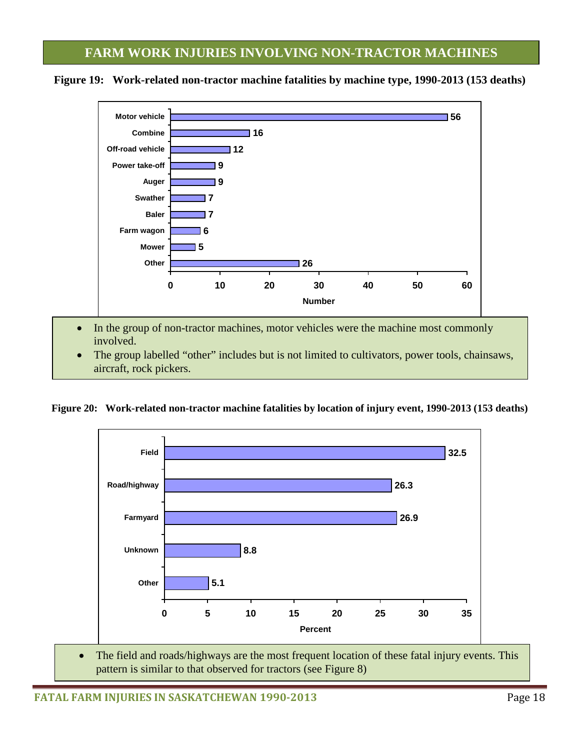## **FARM WORK INJURIES INVOLVING NON-TRACTOR MACHINES**



**Figure 19: Work-related non-tractor machine fatalities by machine type, 1990-2013 (153 deaths)**

- In the group of non-tractor machines, motor vehicles were the machine most commonly involved.
- The group labelled "other" includes but is not limited to cultivators, power tools, chainsaws, aircraft, rock pickers.

**Figure 20: Work-related non-tractor machine fatalities by location of injury event, 1990-2013 (153 deaths)**



• The field and roads/highways are the most frequent location of these fatal injury events. This pattern is similar to that observed for tractors (see Figure 8)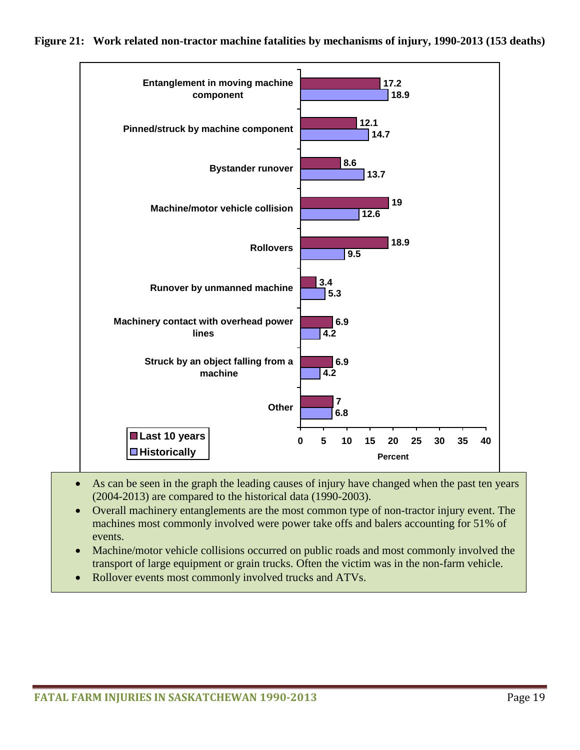

**Figure 21: Work related non-tractor machine fatalities by mechanisms of injury, 1990-2013 (153 deaths)**

- As can be seen in the graph the leading causes of injury have changed when the past ten years (2004-2013) are compared to the historical data (1990-2003).
- Overall machinery entanglements are the most common type of non-tractor injury event. The machines most commonly involved were power take offs and balers accounting for 51% of events.
- Machine/motor vehicle collisions occurred on public roads and most commonly involved the transport of large equipment or grain trucks. Often the victim was in the non-farm vehicle.
- Rollover events most commonly involved trucks and ATVs.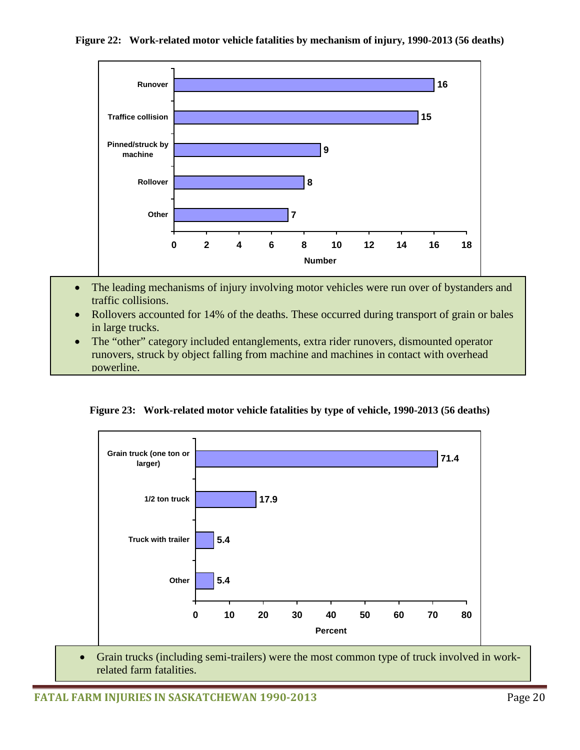

#### **Figure 22: Work-related motor vehicle fatalities by mechanism of injury, 1990-2013 (56 deaths)**

- The leading mechanisms of injury involving motor vehicles were run over of bystanders and traffic collisions.
- Rollovers accounted for 14% of the deaths. These occurred during transport of grain or bales in large trucks.
- The "other" category included entanglements, extra rider runovers, dismounted operator runovers, struck by object falling from machine and machines in contact with overhead powerline.

**Figure 23: Work-related motor vehicle fatalities by type of vehicle, 1990-2013 (56 deaths)**



• Grain trucks (including semi-trailers) were the most common type of truck involved in workrelated farm fatalities.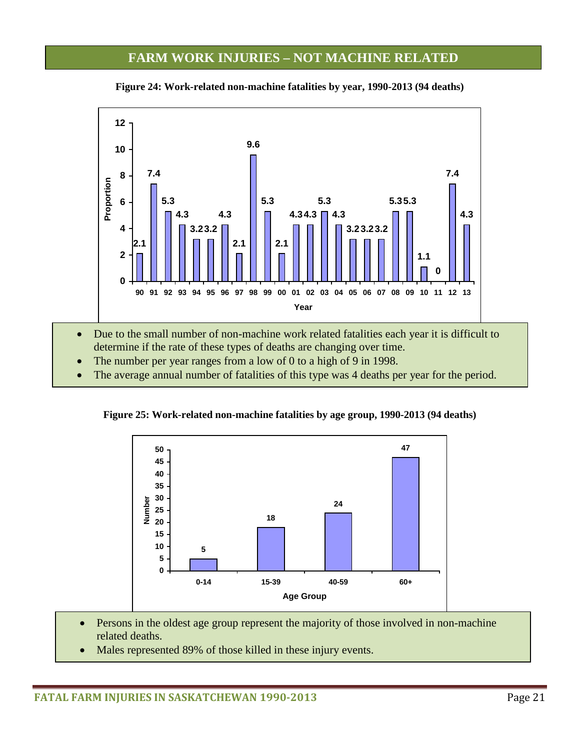## **FARM WORK INJURIES – NOT MACHINE RELATED**

**Figure 24: Work-related non-machine fatalities by year, 1990-2013 (94 deaths)**



- Due to the small number of non-machine work related fatalities each year it is difficult to determine if the rate of these types of deaths are changing over time.
- The number per year ranges from a low of 0 to a high of 9 in 1998.
- The average annual number of fatalities of this type was 4 deaths per year for the period.

**Figure 25: Work-related non-machine fatalities by age group, 1990-2013 (94 deaths)**



- Persons in the oldest age group represent the majority of those involved in non-machine related deaths.
- Males represented 89% of those killed in these injury events.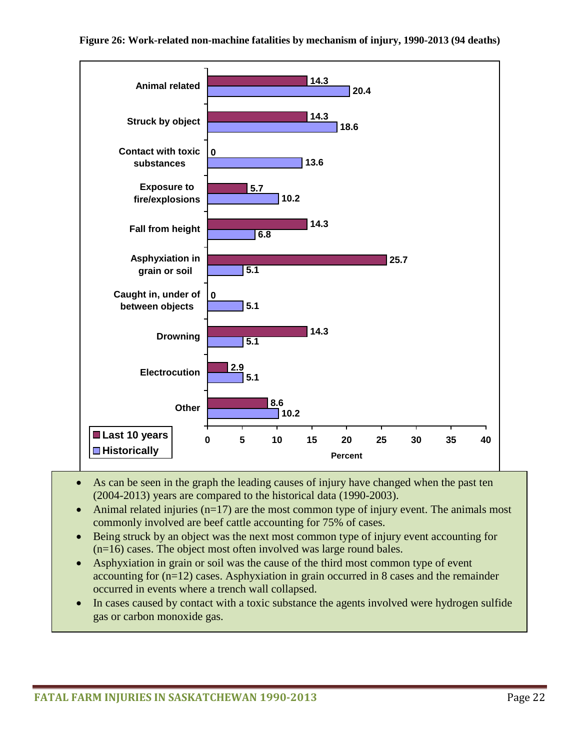

- As can be seen in the graph the leading causes of injury have changed when the past ten (2004-2013) years are compared to the historical data (1990-2003).
- Animal related injuries  $(n=17)$  are the most common type of injury event. The animals most commonly involved are beef cattle accounting for 75% of cases.
- Being struck by an object was the next most common type of injury event accounting for (n=16) cases. The object most often involved was large round bales.
- Asphyxiation in grain or soil was the cause of the third most common type of event accounting for (n=12) cases. Asphyxiation in grain occurred in 8 cases and the remainder occurred in events where a trench wall collapsed.
- In cases caused by contact with a toxic substance the agents involved were hydrogen sulfide gas or carbon monoxide gas.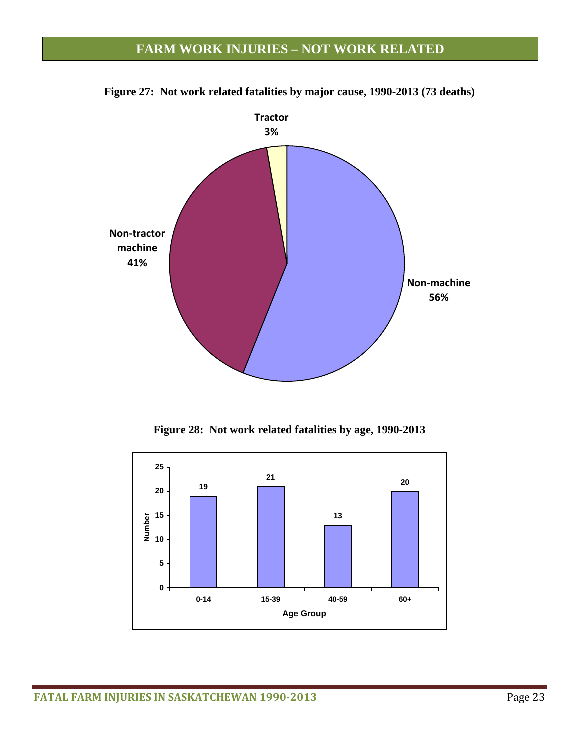## **FARM WORK INJURIES – NOT WORK RELATED**



**Figure 27: Not work related fatalities by major cause, 1990-2013 (73 deaths)**

**Figure 28: Not work related fatalities by age, 1990-2013**

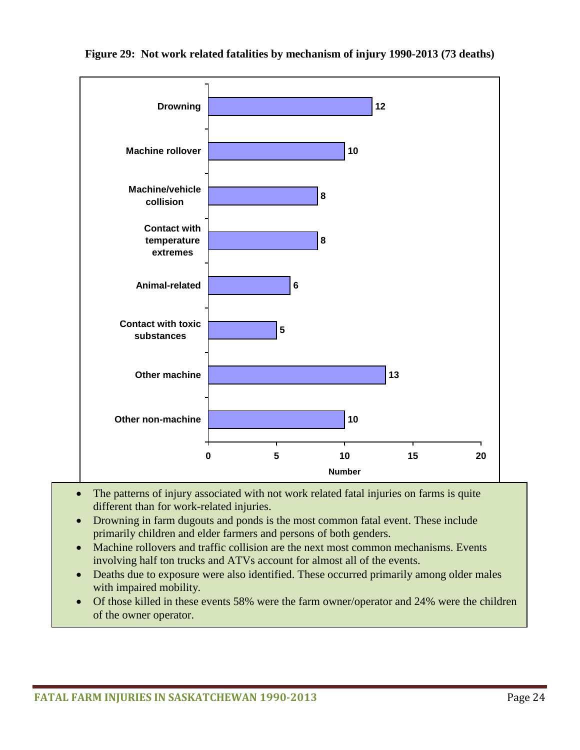



- The patterns of injury associated with not work related fatal injuries on farms is quite different than for work-related injuries.
- Drowning in farm dugouts and ponds is the most common fatal event. These include primarily children and elder farmers and persons of both genders.
- Machine rollovers and traffic collision are the next most common mechanisms. Events involving half ton trucks and ATVs account for almost all of the events.
- Deaths due to exposure were also identified. These occurred primarily among older males with impaired mobility.
- Of those killed in these events 58% were the farm owner/operator and 24% were the children of the owner operator.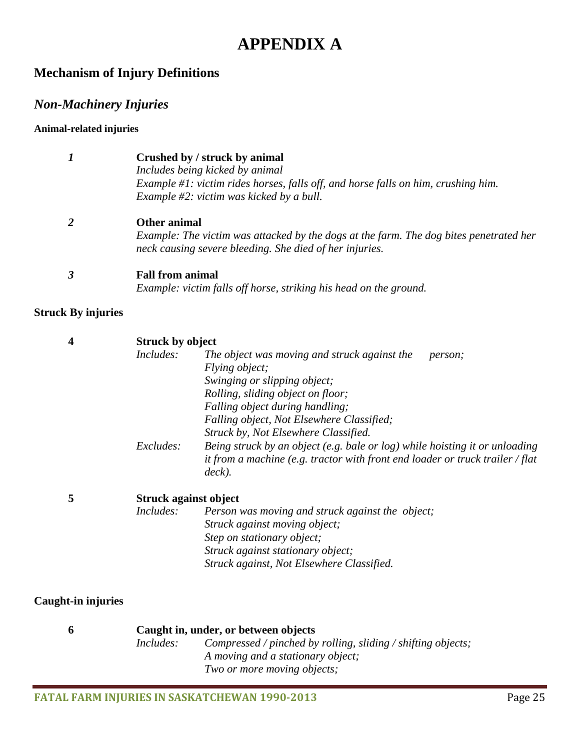## **APPENDIX A**

## **Mechanism of Injury Definitions**

## *Non-Machinery Injuries*

## **Animal-related injuries**

| 1 | Crushed by / struck by animal<br>Includes being kicked by animal<br>Example #1: victim rides horses, falls off, and horse falls on him, crushing him.<br>Example #2: victim was kicked by a bull. |
|---|---------------------------------------------------------------------------------------------------------------------------------------------------------------------------------------------------|
| 2 | Other animal<br>Example: The victim was attacked by the dogs at the farm. The dog bites penetrated her<br>neck causing severe bleeding. She died of her injuries.                                 |
| 3 | <b>Fall from animal</b><br>Example: victim falls off horse, striking his head on the ground.                                                                                                      |

## **Struck By injuries**

| 4                  | <b>Struck by object</b>      |                                                                               |  |  |
|--------------------|------------------------------|-------------------------------------------------------------------------------|--|--|
|                    | Includes:                    | The object was moving and struck against the<br>person;                       |  |  |
|                    |                              | <i>Flying object;</i>                                                         |  |  |
|                    |                              | Swinging or slipping object;                                                  |  |  |
|                    |                              | Rolling, sliding object on floor;                                             |  |  |
|                    |                              | Falling object during handling;                                               |  |  |
|                    |                              | Falling object, Not Elsewhere Classified;                                     |  |  |
|                    |                              | Struck by, Not Elsewhere Classified.                                          |  |  |
|                    | Excludes:                    | Being struck by an object (e.g. bale or log) while hoisting it or unloading   |  |  |
|                    |                              | it from a machine (e.g. tractor with front end loader or truck trailer / flat |  |  |
|                    |                              | $deck$ ).                                                                     |  |  |
| 5                  | <b>Struck against object</b> |                                                                               |  |  |
|                    | Includes:                    | Person was moving and struck against the object;                              |  |  |
|                    |                              | Struck against moving object;                                                 |  |  |
|                    |                              | Step on stationary object;                                                    |  |  |
|                    |                              | Struck against stationary object;                                             |  |  |
|                    |                              | Struck against, Not Elsewhere Classified.                                     |  |  |
| Caught-in injuries |                              |                                                                               |  |  |
|                    |                              |                                                                               |  |  |
| 6                  |                              | Caught in, under, or between objects                                          |  |  |
|                    | <i>Includes:</i>             | Compressed / pinched by rolling, sliding / shifting objects;                  |  |  |
|                    |                              | A moving and a stationary object;                                             |  |  |
|                    |                              | Two or more moving objects;                                                   |  |  |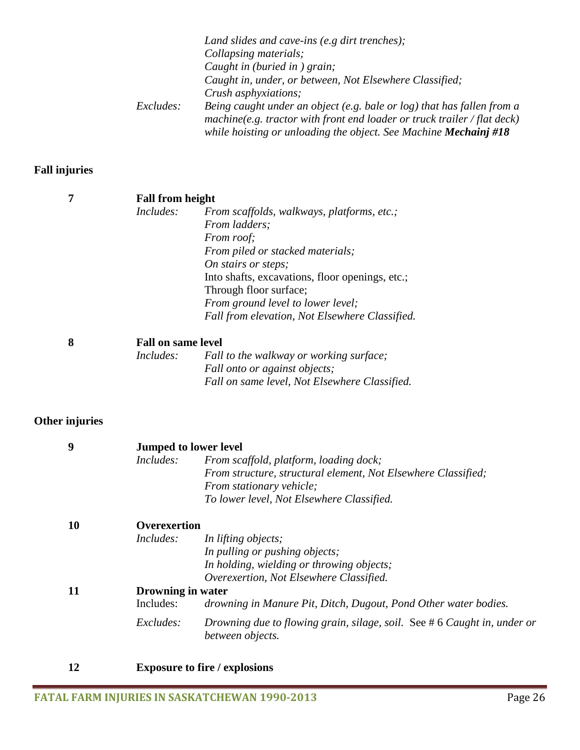|                  | Land slides and cave-ins (e.g dirt trenches);                              |
|------------------|----------------------------------------------------------------------------|
|                  | Collapsing materials;                                                      |
|                  | Caught in (buried in) grain;                                               |
|                  | Caught in, under, or between, Not Elsewhere Classified;                    |
|                  | Crush asphyxiations;                                                       |
| <i>Excludes:</i> | Being caught under an object (e.g. bale or log) that has fallen from a     |
|                  | $machine(e.g.$ tractor with front end loader or truck trailer / flat deck) |
|                  | while hoisting or unloading the object. See Machine <b>Mechainj</b> #18    |

## **Fall injuries**

| 7              | <b>Fall from height</b>   |                                                 |  |
|----------------|---------------------------|-------------------------------------------------|--|
|                | Includes:                 | From scaffolds, walkways, platforms, etc.;      |  |
|                |                           | From ladders;                                   |  |
|                |                           | <i>From roof</i> ;                              |  |
|                |                           | From piled or stacked materials;                |  |
|                |                           | On stairs or steps;                             |  |
|                |                           | Into shafts, excavations, floor openings, etc.; |  |
|                |                           | Through floor surface;                          |  |
|                |                           | From ground level to lower level;               |  |
|                |                           | Fall from elevation, Not Elsewhere Classified.  |  |
| 8              | <b>Fall on same level</b> |                                                 |  |
|                | <i>Includes:</i>          | Fall to the walkway or working surface;         |  |
|                |                           | Fall onto or against objects;                   |  |
|                |                           | Fall on same level, Not Elsewhere Classified.   |  |
|                |                           |                                                 |  |
| Other injuries |                           |                                                 |  |

| 9  |                   | <b>Jumped to lower level</b>                                                                |  |  |
|----|-------------------|---------------------------------------------------------------------------------------------|--|--|
|    | Includes:         | From scaffold, platform, loading dock;                                                      |  |  |
|    |                   | From structure, structural element, Not Elsewhere Classified;                               |  |  |
|    |                   | <i>From stationary vehicle;</i>                                                             |  |  |
|    |                   | To lower level, Not Elsewhere Classified.                                                   |  |  |
| 10 | Overexertion      |                                                                                             |  |  |
|    | Includes:         | In lifting objects;                                                                         |  |  |
|    |                   | In pulling or pushing objects;                                                              |  |  |
|    |                   | In holding, wielding or throwing objects;                                                   |  |  |
|    |                   | Overexertion, Not Elsewhere Classified.                                                     |  |  |
|    | Drowning in water |                                                                                             |  |  |
|    | Includes:         | drowning in Manure Pit, Ditch, Dugout, Pond Other water bodies.                             |  |  |
|    | Excludes:         | Drowning due to flowing grain, silage, soil. See #6 Caught in, under or<br>between objects. |  |  |
|    |                   |                                                                                             |  |  |

**12 Exposure to fire / explosions**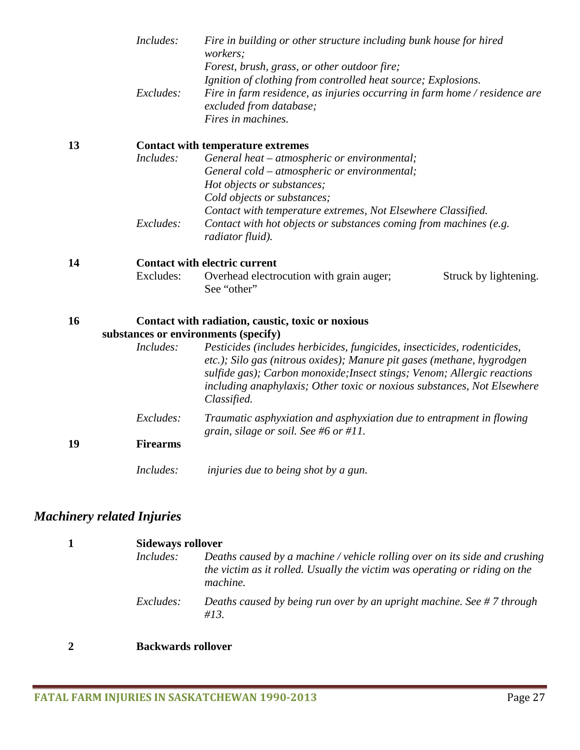|                                      | Includes:       | Fire in building or other structure including bunk house for hired<br>workers;<br>Forest, brush, grass, or other outdoor fire;                                                                                                                                                                                          |
|--------------------------------------|-----------------|-------------------------------------------------------------------------------------------------------------------------------------------------------------------------------------------------------------------------------------------------------------------------------------------------------------------------|
|                                      | Excludes:       | Ignition of clothing from controlled heat source; Explosions.<br>Fire in farm residence, as injuries occurring in farm home / residence are<br>excluded from database;<br>Fires in machines.                                                                                                                            |
|                                      |                 |                                                                                                                                                                                                                                                                                                                         |
| 13                                   |                 | <b>Contact with temperature extremes</b>                                                                                                                                                                                                                                                                                |
|                                      | Includes:       | General heat – atmospheric or environmental;                                                                                                                                                                                                                                                                            |
|                                      |                 | General cold - atmospheric or environmental;                                                                                                                                                                                                                                                                            |
|                                      |                 | Hot objects or substances;                                                                                                                                                                                                                                                                                              |
|                                      |                 | Cold objects or substances;                                                                                                                                                                                                                                                                                             |
|                                      |                 | Contact with temperature extremes, Not Elsewhere Classified.                                                                                                                                                                                                                                                            |
|                                      | Excludes:       | Contact with hot objects or substances coming from machines (e.g.<br>radiator fluid).                                                                                                                                                                                                                                   |
| 14                                   |                 | <b>Contact with electric current</b>                                                                                                                                                                                                                                                                                    |
|                                      | Excludes:       | Overhead electrocution with grain auger;<br>Struck by lightening.<br>See "other"                                                                                                                                                                                                                                        |
| 16                                   |                 | Contact with radiation, caustic, toxic or noxious                                                                                                                                                                                                                                                                       |
| substances or environments (specify) |                 |                                                                                                                                                                                                                                                                                                                         |
|                                      | Includes:       | Pesticides (includes herbicides, fungicides, insecticides, rodenticides,<br>etc.); Silo gas (nitrous oxides); Manure pit gases (methane, hygrodgen<br>sulfide gas); Carbon monoxide; Insect stings; Venom; Allergic reactions<br>including anaphylaxis; Other toxic or noxious substances, Not Elsewhere<br>Classified. |
|                                      | Excludes:       | Traumatic asphyxiation and asphyxiation due to entrapment in flowing<br>grain, silage or soil. See #6 or #11.                                                                                                                                                                                                           |
| 19                                   | <b>Firearms</b> |                                                                                                                                                                                                                                                                                                                         |
|                                      | Includes:       | <i>injuries due to being shot by a gun.</i>                                                                                                                                                                                                                                                                             |

## *Machinery related Injuries*

| <b>Sideways rollover</b> |                                                                                                                                                                      |  |
|--------------------------|----------------------------------------------------------------------------------------------------------------------------------------------------------------------|--|
| <i>Includes:</i>         | Deaths caused by a machine / vehicle rolling over on its side and crushing<br>the victim as it rolled. Usually the victim was operating or riding on the<br>machine. |  |
| <i>Excludes:</i>         | Deaths caused by being run over by an upright machine. See #7 through<br>$\#13.$                                                                                     |  |

## **2 Backwards rollover**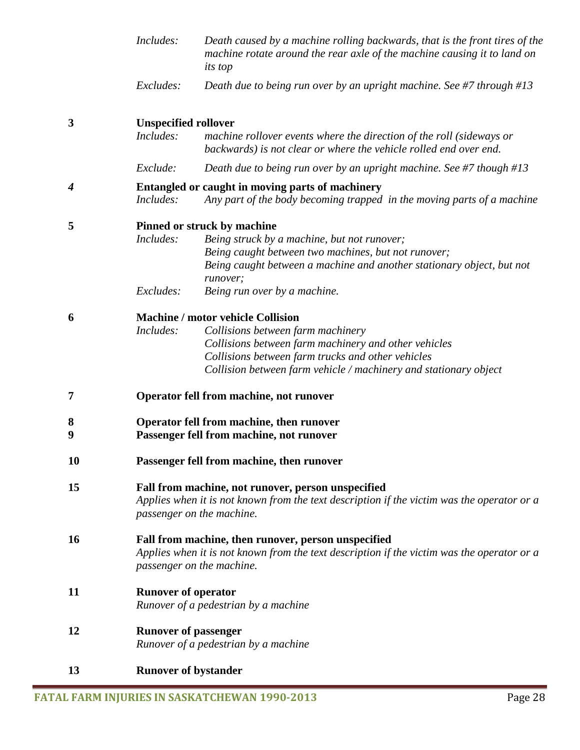|              | Includes:                                                                                                                                                                      | Death caused by a machine rolling backwards, that is the front tires of the<br>machine rotate around the rear axle of the machine causing it to land on<br><i>its top</i>                                                                                      |
|--------------|--------------------------------------------------------------------------------------------------------------------------------------------------------------------------------|----------------------------------------------------------------------------------------------------------------------------------------------------------------------------------------------------------------------------------------------------------------|
|              | Excludes:                                                                                                                                                                      | Death due to being run over by an upright machine. See #7 through #13                                                                                                                                                                                          |
| $\mathbf{3}$ | <b>Unspecified rollover</b><br>Includes:                                                                                                                                       | machine rollover events where the direction of the roll (sideways or<br>backwards) is not clear or where the vehicle rolled end over end.                                                                                                                      |
|              | Exclude:                                                                                                                                                                       | Death due to being run over by an upright machine. See #7 though #13                                                                                                                                                                                           |
| 4            | <i>Includes:</i>                                                                                                                                                               | Entangled or caught in moving parts of machinery<br>Any part of the body becoming trapped in the moving parts of a machine                                                                                                                                     |
| 5            | Includes:                                                                                                                                                                      | Pinned or struck by machine<br>Being struck by a machine, but not runover;<br>Being caught between two machines, but not runover;<br>Being caught between a machine and another stationary object, but not<br>runover;                                         |
|              | Excludes:                                                                                                                                                                      | Being run over by a machine.                                                                                                                                                                                                                                   |
| 6            | Includes:                                                                                                                                                                      | <b>Machine / motor vehicle Collision</b><br>Collisions between farm machinery<br>Collisions between farm machinery and other vehicles<br>Collisions between farm trucks and other vehicles<br>Collision between farm vehicle / machinery and stationary object |
| 7            | Operator fell from machine, not runover                                                                                                                                        |                                                                                                                                                                                                                                                                |
| 8<br>9       | Operator fell from machine, then runover<br>Passenger fell from machine, not runover                                                                                           |                                                                                                                                                                                                                                                                |
| 10           | Passenger fell from machine, then runover                                                                                                                                      |                                                                                                                                                                                                                                                                |
| 15           | Fall from machine, not runover, person unspecified<br>Applies when it is not known from the text description if the victim was the operator or a<br>passenger on the machine.  |                                                                                                                                                                                                                                                                |
| <b>16</b>    | Fall from machine, then runover, person unspecified<br>Applies when it is not known from the text description if the victim was the operator or a<br>passenger on the machine. |                                                                                                                                                                                                                                                                |
| 11           | <b>Runover of operator</b><br>Runover of a pedestrian by a machine                                                                                                             |                                                                                                                                                                                                                                                                |
| 12           | <b>Runover of passenger</b>                                                                                                                                                    | Runover of a pedestrian by a machine                                                                                                                                                                                                                           |
| 13           | <b>Runover of bystander</b>                                                                                                                                                    |                                                                                                                                                                                                                                                                |